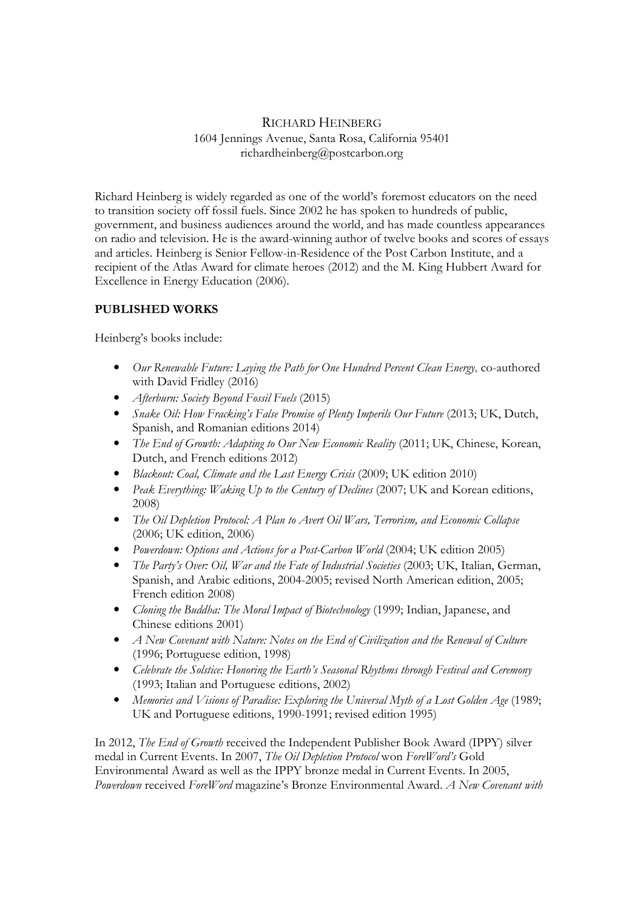# RICHARD HEINBERG 1604 Jennings Avenue, Santa Rosa, California 95401 richardheinberg@postcarbon.org

Richard Heinberg is widely regarded as one of the world's foremost educators on the need to transition society off fossil fuels. Since 2002 he has spoken to hundreds of public, government, and business audiences around the world, and has made countless appearances on radio and television. He is the award-winning author of twelve books and scores of essays and articles. Heinberg is Senior Fellow-in-Residence of the Post Carbon Institute, and a recipient of the Atlas Award for climate heroes (2012) and the M. King Hubbert Award for Excellence in Energy Education (2006).

# PUBLISHED WORKS

Heinberg's books include:

- Our Renewable Future: Laying the Path for One Hundred Percent Clean Energy, co-authored with David Fridley (2016)
- Afterburn: Society Beyond Fossil Fuels (2015)
- Snake Oil: How Fracking's False Promise of Plenty Imperils Our Future (2013; UK, Dutch, Spanish, and Romanian editions 2014)
- The End of Growth: Adapting to Our New Economic Reality (2011; UK, Chinese, Korean, Dutch, and French editions 2012)
- Blackout: Coal, Climate and the Last Energy Crisis (2009; UK edition 2010)
- Peak Everything: Waking Up to the Century of Declines (2007; UK and Korean editions, 2008)
- The Oil Depletion Protocol: A Plan to Avert Oil Wars, Terrorism, and Economic Collapse (2006; UK edition, 2006)
- Powerdown: Options and Actions for a Post-Carbon World (2004; UK edition 2005)
- The Party's Over: Oil, War and the Fate of Industrial Societies (2003; UK, Italian, German, Spanish, and Arabic editions, 2004-2005; revised North American edition, 2005; French edition 2008)
- Cloning the Buddha: The Moral Impact of Biotechnology (1999; Indian, Japanese, and Chinese editions 2001)
- A New Covenant with Nature: Notes on the End of Civilization and the Renewal of Culture (1996; Portuguese edition, 1998)
- Celebrate the Solstice: Honoring the Earth's Seasonal Rhythms through Festival and Ceremony (1993; Italian and Portuguese editions, 2002)
- Memories and Visions of Paradise: Exploring the Universal Myth of a Lost Golden Age (1989; UK and Portuguese editions, 1990-1991; revised edition 1995)

In 2012, The End of Growth received the Independent Publisher Book Award (IPPY) silver medal in Current Events. In 2007, The Oil Depletion Protocol won ForeWord's Gold Environmental Award as well as the IPPY bronze medal in Current Events. In 2005, Powerdown received ForeWord magazine's Bronze Environmental Award. A New Covenant with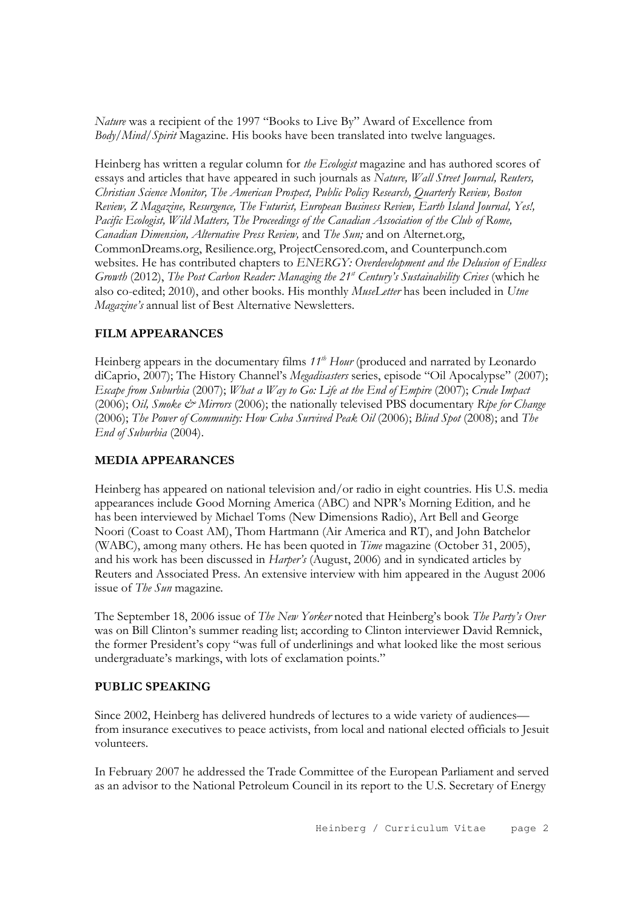Nature was a recipient of the 1997 "Books to Live By" Award of Excellence from Body/Mind/Spirit Magazine. His books have been translated into twelve languages.

Heinberg has written a regular column for the Ecologist magazine and has authored scores of essays and articles that have appeared in such journals as Nature, Wall Street Journal, Reuters, Christian Science Monitor, The American Prospect, Public Policy Research, Quarterly Review, Boston Review, Z Magazine, Resurgence, The Futurist, European Business Review, Earth Island Journal, Yes!, Pacific Ecologist, Wild Matters, The Proceedings of the Canadian Association of the Club of Rome, Canadian Dimension, Alternative Press Review, and The Sun; and on Alternet.org, CommonDreams.org, Resilience.org, ProjectCensored.com, and Counterpunch.com websites. He has contributed chapters to ENERGY: Overdevelopment and the Delusion of Endless Growth (2012), The Post Carbon Reader: Managing the  $21<sup>st</sup>$  Century's Sustainability Crises (which he also co-edited; 2010), and other books. His monthly MuseLetter has been included in Utne Magazine's annual list of Best Alternative Newsletters.

# FILM APPEARANCES

Heinberg appears in the documentary films  $11<sup>th</sup>$  Hour (produced and narrated by Leonardo diCaprio, 2007); The History Channel's Megadisasters series, episode "Oil Apocalypse" (2007); Escape from Suburbia (2007); What a Way to Go: Life at the End of Empire (2007); Crude Impact (2006); Oil, Smoke & Mirrors (2006); the nationally televised PBS documentary Ripe for Change (2006); The Power of Community: How Cuba Survived Peak Oil (2006); Blind Spot (2008); and The End of Suburbia (2004).

#### MEDIA APPEARANCES

Heinberg has appeared on national television and/or radio in eight countries. His U.S. media appearances include Good Morning America (ABC) and NPR's Morning Edition, and he has been interviewed by Michael Toms (New Dimensions Radio), Art Bell and George Noori (Coast to Coast AM), Thom Hartmann (Air America and RT), and John Batchelor (WABC), among many others. He has been quoted in Time magazine (October 31, 2005), and his work has been discussed in Harper's (August, 2006) and in syndicated articles by Reuters and Associated Press. An extensive interview with him appeared in the August 2006 issue of The Sun magazine.

The September 18, 2006 issue of The New Yorker noted that Heinberg's book The Party's Over was on Bill Clinton's summer reading list; according to Clinton interviewer David Remnick, the former President's copy "was full of underlinings and what looked like the most serious undergraduate's markings, with lots of exclamation points."

### PUBLIC SPEAKING

Since 2002, Heinberg has delivered hundreds of lectures to a wide variety of audiences from insurance executives to peace activists, from local and national elected officials to Jesuit volunteers.

In February 2007 he addressed the Trade Committee of the European Parliament and served as an advisor to the National Petroleum Council in its report to the U.S. Secretary of Energy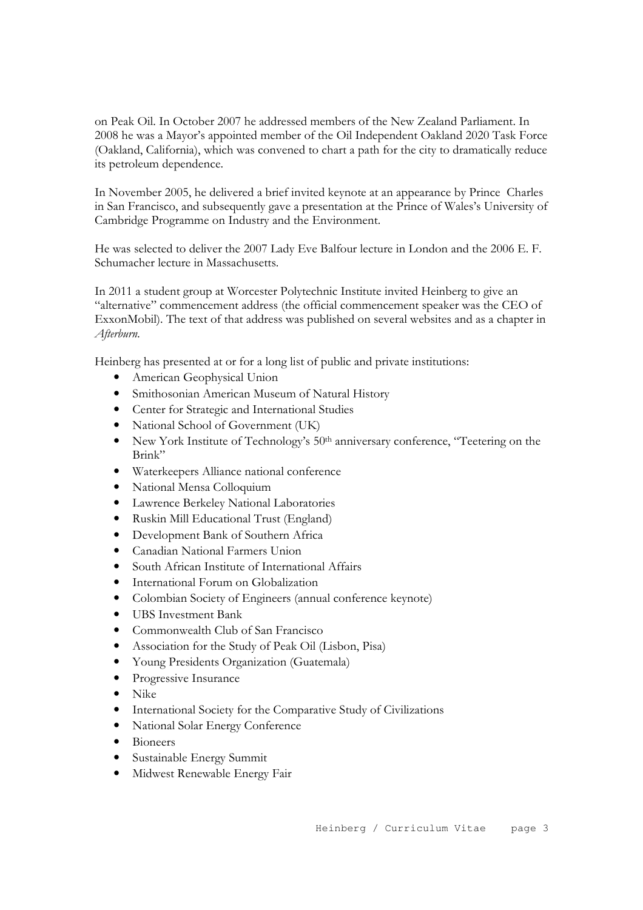on Peak Oil. In October 2007 he addressed members of the New Zealand Parliament. In 2008 he was a Mayor's appointed member of the Oil Independent Oakland 2020 Task Force (Oakland, California), which was convened to chart a path for the city to dramatically reduce its petroleum dependence.

In November 2005, he delivered a brief invited keynote at an appearance by Prince Charles in San Francisco, and subsequently gave a presentation at the Prince of Wales's University of Cambridge Programme on Industry and the Environment.

He was selected to deliver the 2007 Lady Eve Balfour lecture in London and the 2006 E. F. Schumacher lecture in Massachusetts.

In 2011 a student group at Worcester Polytechnic Institute invited Heinberg to give an "alternative" commencement address (the official commencement speaker was the CEO of ExxonMobil). The text of that address was published on several websites and as a chapter in Afterburn.

Heinberg has presented at or for a long list of public and private institutions:

- American Geophysical Union
- Smithosonian American Museum of Natural History
- Center for Strategic and International Studies
- National School of Government (UK)
- New York Institute of Technology's 50<sup>th</sup> anniversary conference, "Teetering on the Brink"
- Waterkeepers Alliance national conference
- National Mensa Colloquium
- Lawrence Berkeley National Laboratories
- Ruskin Mill Educational Trust (England)
- Development Bank of Southern Africa
- Canadian National Farmers Union
- South African Institute of International Affairs
- International Forum on Globalization
- Colombian Society of Engineers (annual conference keynote)
- UBS Investment Bank
- Commonwealth Club of San Francisco
- Association for the Study of Peak Oil (Lisbon, Pisa)
- Young Presidents Organization (Guatemala)
- Progressive Insurance
- Nike
- International Society for the Comparative Study of Civilizations
- National Solar Energy Conference
- Bioneers
- Sustainable Energy Summit
- Midwest Renewable Energy Fair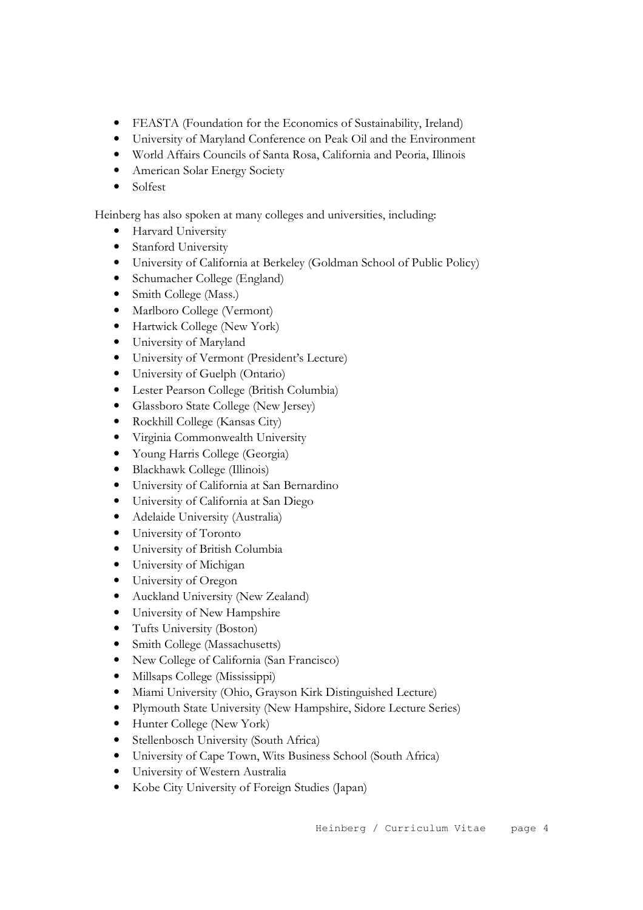- FEASTA (Foundation for the Economics of Sustainability, Ireland)
- University of Maryland Conference on Peak Oil and the Environment
- World Affairs Councils of Santa Rosa, California and Peoria, Illinois
- American Solar Energy Society
- Solfest

Heinberg has also spoken at many colleges and universities, including:

- Harvard University
- Stanford University
- University of California at Berkeley (Goldman School of Public Policy)
- Schumacher College (England)
- Smith College (Mass.)
- Marlboro College (Vermont)
- Hartwick College (New York)
- University of Maryland
- University of Vermont (President's Lecture)
- University of Guelph (Ontario)
- Lester Pearson College (British Columbia)
- Glassboro State College (New Jersey)
- Rockhill College (Kansas City)
- Virginia Commonwealth University
- Young Harris College (Georgia)
- Blackhawk College (Illinois)
- University of California at San Bernardino
- University of California at San Diego
- Adelaide University (Australia)
- University of Toronto
- University of British Columbia
- University of Michigan
- University of Oregon
- Auckland University (New Zealand)
- University of New Hampshire
- Tufts University (Boston)
- Smith College (Massachusetts)
- New College of California (San Francisco)
- Millsaps College (Mississippi)
- Miami University (Ohio, Grayson Kirk Distinguished Lecture)
- Plymouth State University (New Hampshire, Sidore Lecture Series)
- Hunter College (New York)
- Stellenbosch University (South Africa)
- University of Cape Town, Wits Business School (South Africa)
- University of Western Australia
- Kobe City University of Foreign Studies (Japan)